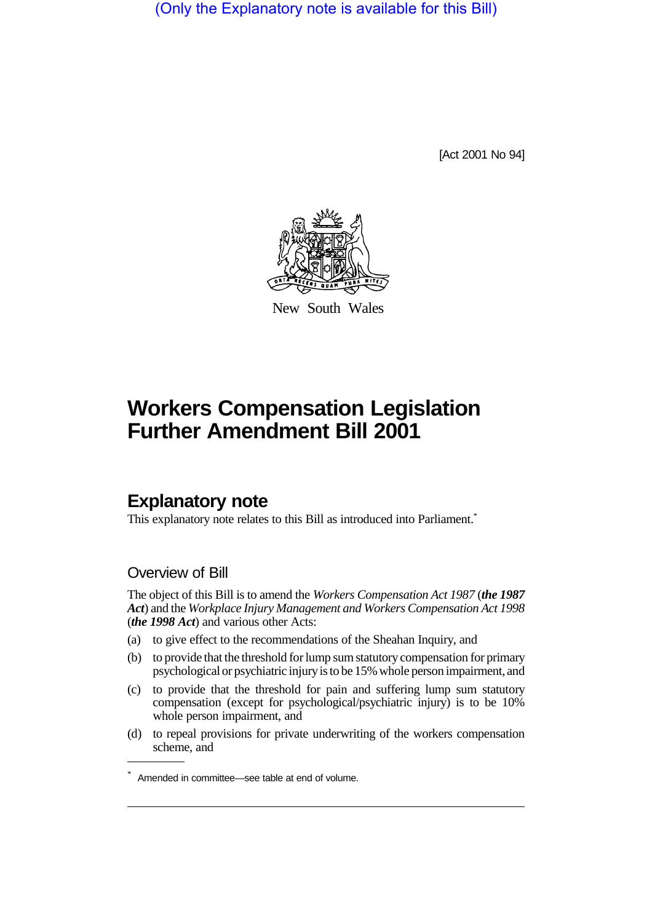(Only the Explanatory note is available for this Bill)

[Act 2001 No 94]



New South Wales

# **Workers Compensation Legislation Further Amendment Bill 2001**

## **Explanatory note**

This explanatory note relates to this Bill as introduced into Parliament.\*

## Overview of Bill

The object of this Bill is to amend the *Workers Compensation Act 1987* (*the 1987 Act*) and the *Workplace Injury Management and Workers Compensation Act 1998* (*the 1998 Act*) and various other Acts:

- (a) to give effect to the recommendations of the Sheahan Inquiry, and
- (b) to provide that the threshold for lump sum statutory compensation for primary psychological or psychiatric injury is to be 15% whole person impairment, and
- (c) to provide that the threshold for pain and suffering lump sum statutory compensation (except for psychological/psychiatric injury) is to be 10% whole person impairment, and
- (d) to repeal provisions for private underwriting of the workers compensation scheme, and

<sup>\*</sup> Amended in committee—see table at end of volume.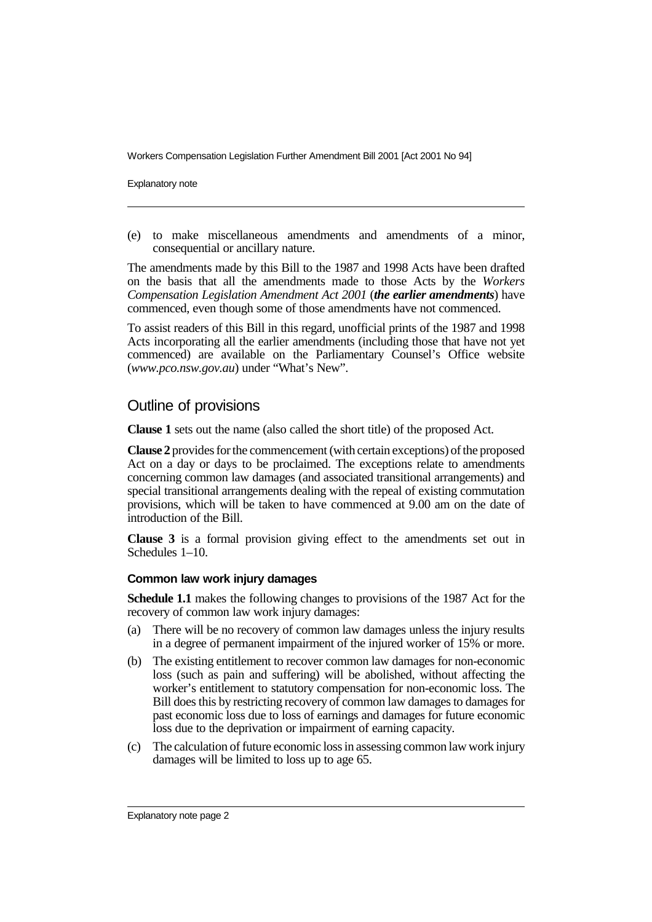Explanatory note

(e) to make miscellaneous amendments and amendments of a minor, consequential or ancillary nature.

The amendments made by this Bill to the 1987 and 1998 Acts have been drafted on the basis that all the amendments made to those Acts by the *Workers Compensation Legislation Amendment Act 2001* (*the earlier amendments*) have commenced, even though some of those amendments have not commenced.

To assist readers of this Bill in this regard, unofficial prints of the 1987 and 1998 Acts incorporating all the earlier amendments (including those that have not yet commenced) are available on the Parliamentary Counsel's Office website (*www.pco.nsw.gov.au*) under "What's New".

## Outline of provisions

**Clause 1** sets out the name (also called the short title) of the proposed Act.

**Clause 2** provides for the commencement (with certain exceptions) of the proposed Act on a day or days to be proclaimed. The exceptions relate to amendments concerning common law damages (and associated transitional arrangements) and special transitional arrangements dealing with the repeal of existing commutation provisions, which will be taken to have commenced at 9.00 am on the date of introduction of the Bill.

**Clause 3** is a formal provision giving effect to the amendments set out in Schedules 1–10.

#### **Common law work injury damages**

**Schedule 1.1** makes the following changes to provisions of the 1987 Act for the recovery of common law work injury damages:

- (a) There will be no recovery of common law damages unless the injury results in a degree of permanent impairment of the injured worker of 15% or more.
- (b) The existing entitlement to recover common law damages for non-economic loss (such as pain and suffering) will be abolished, without affecting the worker's entitlement to statutory compensation for non-economic loss. The Bill does this by restricting recovery of common law damages to damages for past economic loss due to loss of earnings and damages for future economic loss due to the deprivation or impairment of earning capacity.
- (c) The calculation of future economic loss in assessing common law work injury damages will be limited to loss up to age 65.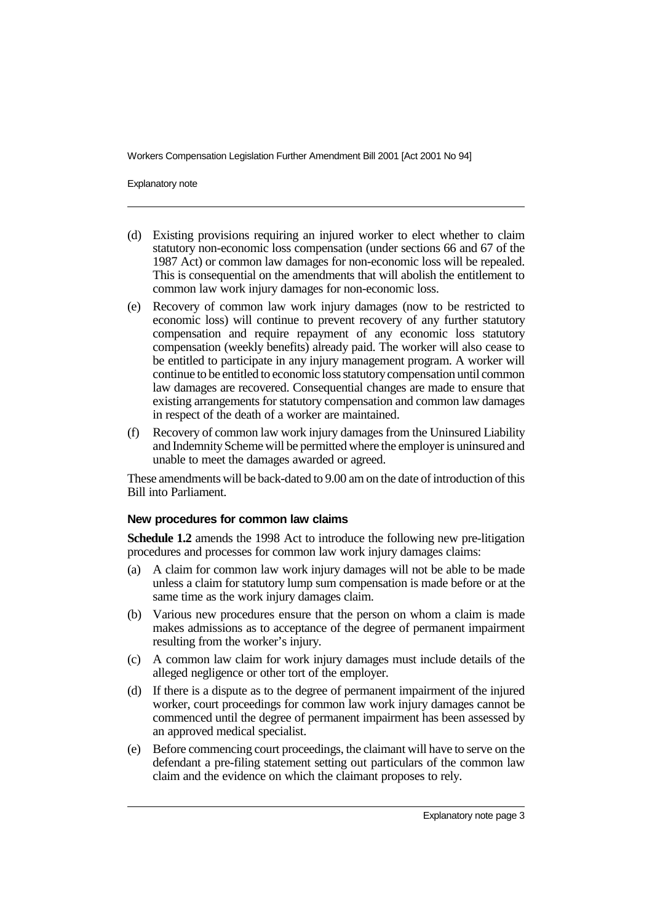Explanatory note

- (d) Existing provisions requiring an injured worker to elect whether to claim statutory non-economic loss compensation (under sections 66 and 67 of the 1987 Act) or common law damages for non-economic loss will be repealed. This is consequential on the amendments that will abolish the entitlement to common law work injury damages for non-economic loss.
- (e) Recovery of common law work injury damages (now to be restricted to economic loss) will continue to prevent recovery of any further statutory compensation and require repayment of any economic loss statutory compensation (weekly benefits) already paid. The worker will also cease to be entitled to participate in any injury management program. A worker will continue to be entitled to economic loss statutory compensation until common law damages are recovered. Consequential changes are made to ensure that existing arrangements for statutory compensation and common law damages in respect of the death of a worker are maintained.
- (f) Recovery of common law work injury damages from the Uninsured Liability and Indemnity Scheme will be permitted where the employer is uninsured and unable to meet the damages awarded or agreed.

These amendments will be back-dated to 9.00 am on the date of introduction of this Bill into Parliament.

#### **New procedures for common law claims**

**Schedule 1.2** amends the 1998 Act to introduce the following new pre-litigation procedures and processes for common law work injury damages claims:

- (a) A claim for common law work injury damages will not be able to be made unless a claim for statutory lump sum compensation is made before or at the same time as the work injury damages claim.
- (b) Various new procedures ensure that the person on whom a claim is made makes admissions as to acceptance of the degree of permanent impairment resulting from the worker's injury.
- (c) A common law claim for work injury damages must include details of the alleged negligence or other tort of the employer.
- (d) If there is a dispute as to the degree of permanent impairment of the injured worker, court proceedings for common law work injury damages cannot be commenced until the degree of permanent impairment has been assessed by an approved medical specialist.
- (e) Before commencing court proceedings, the claimant will have to serve on the defendant a pre-filing statement setting out particulars of the common law claim and the evidence on which the claimant proposes to rely.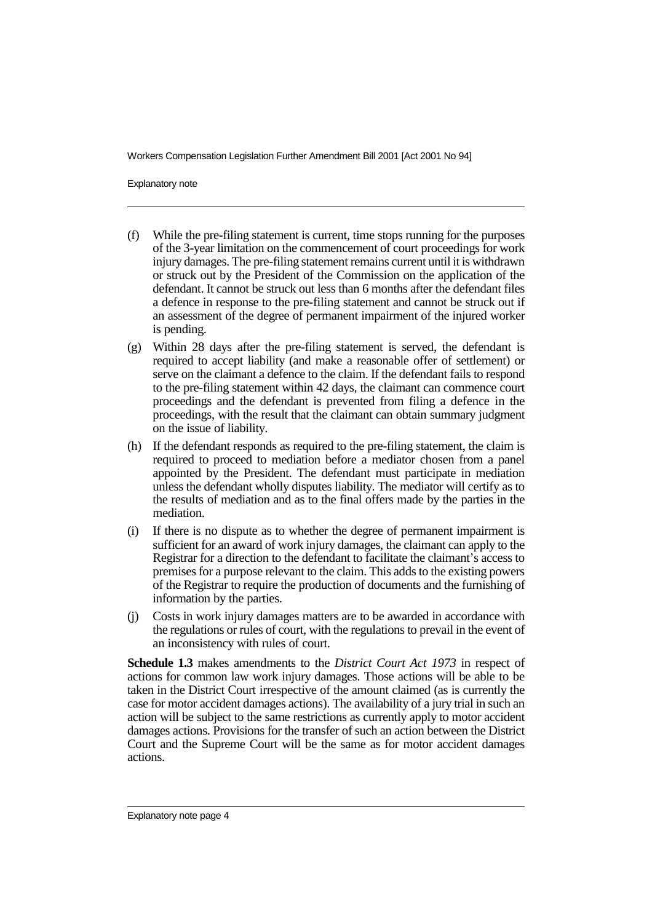Explanatory note

- (f) While the pre-filing statement is current, time stops running for the purposes of the 3-year limitation on the commencement of court proceedings for work injury damages. The pre-filing statement remains current until it is withdrawn or struck out by the President of the Commission on the application of the defendant. It cannot be struck out less than 6 months after the defendant files a defence in response to the pre-filing statement and cannot be struck out if an assessment of the degree of permanent impairment of the injured worker is pending.
- (g) Within 28 days after the pre-filing statement is served, the defendant is required to accept liability (and make a reasonable offer of settlement) or serve on the claimant a defence to the claim. If the defendant fails to respond to the pre-filing statement within 42 days, the claimant can commence court proceedings and the defendant is prevented from filing a defence in the proceedings, with the result that the claimant can obtain summary judgment on the issue of liability.
- (h) If the defendant responds as required to the pre-filing statement, the claim is required to proceed to mediation before a mediator chosen from a panel appointed by the President. The defendant must participate in mediation unless the defendant wholly disputes liability. The mediator will certify as to the results of mediation and as to the final offers made by the parties in the mediation.
- (i) If there is no dispute as to whether the degree of permanent impairment is sufficient for an award of work injury damages, the claimant can apply to the Registrar for a direction to the defendant to facilitate the claimant's access to premises for a purpose relevant to the claim. This adds to the existing powers of the Registrar to require the production of documents and the furnishing of information by the parties.
- (j) Costs in work injury damages matters are to be awarded in accordance with the regulations or rules of court, with the regulations to prevail in the event of an inconsistency with rules of court.

**Schedule 1.3** makes amendments to the *District Court Act 1973* in respect of actions for common law work injury damages. Those actions will be able to be taken in the District Court irrespective of the amount claimed (as is currently the case for motor accident damages actions). The availability of a jury trial in such an action will be subject to the same restrictions as currently apply to motor accident damages actions. Provisions for the transfer of such an action between the District Court and the Supreme Court will be the same as for motor accident damages actions.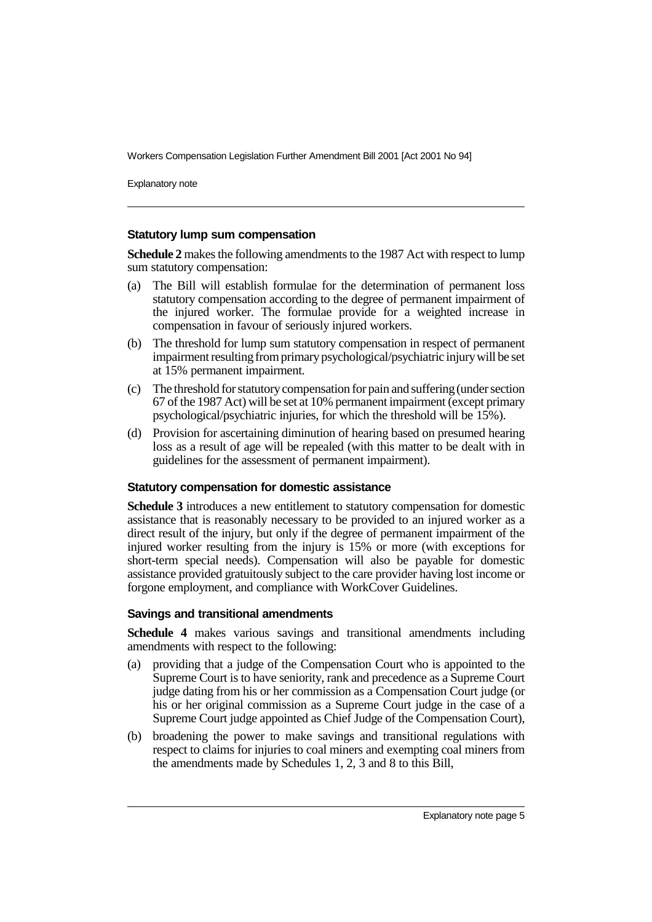Explanatory note

#### **Statutory lump sum compensation**

**Schedule 2** makes the following amendments to the 1987 Act with respect to lump sum statutory compensation:

- (a) The Bill will establish formulae for the determination of permanent loss statutory compensation according to the degree of permanent impairment of the injured worker. The formulae provide for a weighted increase in compensation in favour of seriously injured workers.
- (b) The threshold for lump sum statutory compensation in respect of permanent impairment resulting from primary psychological/psychiatric injury will be set at 15% permanent impairment.
- (c) The threshold for statutory compensation for pain and suffering (under section 67 of the 1987 Act) will be set at 10% permanent impairment (except primary psychological/psychiatric injuries, for which the threshold will be 15%).
- (d) Provision for ascertaining diminution of hearing based on presumed hearing loss as a result of age will be repealed (with this matter to be dealt with in guidelines for the assessment of permanent impairment).

#### **Statutory compensation for domestic assistance**

**Schedule 3** introduces a new entitlement to statutory compensation for domestic assistance that is reasonably necessary to be provided to an injured worker as a direct result of the injury, but only if the degree of permanent impairment of the injured worker resulting from the injury is 15% or more (with exceptions for short-term special needs). Compensation will also be payable for domestic assistance provided gratuitously subject to the care provider having lost income or forgone employment, and compliance with WorkCover Guidelines.

#### **Savings and transitional amendments**

**Schedule 4** makes various savings and transitional amendments including amendments with respect to the following:

- (a) providing that a judge of the Compensation Court who is appointed to the Supreme Court is to have seniority, rank and precedence as a Supreme Court judge dating from his or her commission as a Compensation Court judge (or his or her original commission as a Supreme Court judge in the case of a Supreme Court judge appointed as Chief Judge of the Compensation Court),
- (b) broadening the power to make savings and transitional regulations with respect to claims for injuries to coal miners and exempting coal miners from the amendments made by Schedules 1, 2, 3 and 8 to this Bill,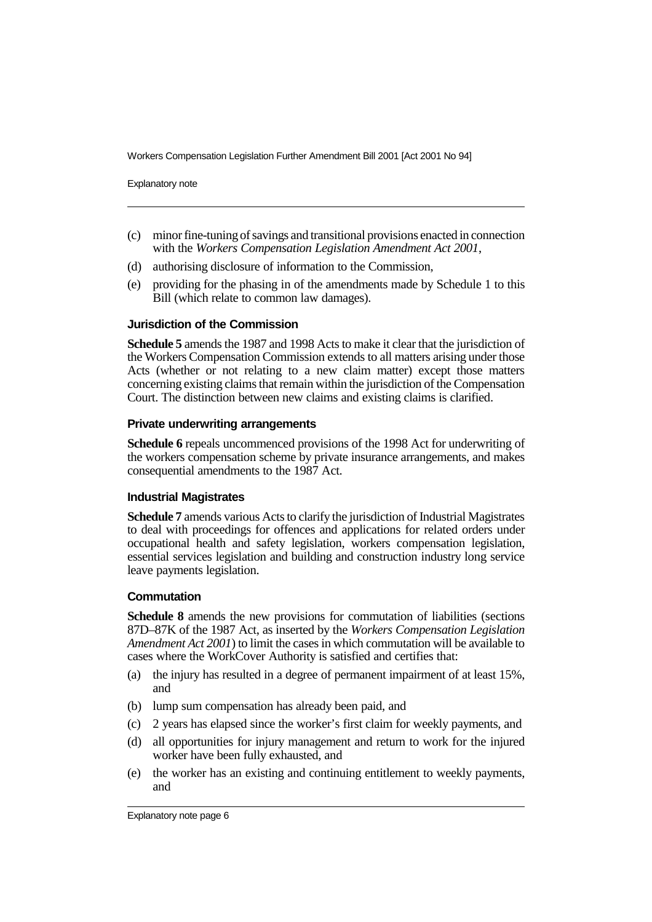Explanatory note

- (c) minor fine-tuning of savings and transitional provisions enacted in connection with the *Workers Compensation Legislation Amendment Act 2001*,
- (d) authorising disclosure of information to the Commission,
- (e) providing for the phasing in of the amendments made by Schedule 1 to this Bill (which relate to common law damages).

#### **Jurisdiction of the Commission**

**Schedule 5** amends the 1987 and 1998 Acts to make it clear that the jurisdiction of the Workers Compensation Commission extends to all matters arising under those Acts (whether or not relating to a new claim matter) except those matters concerning existing claims that remain within the jurisdiction of the Compensation Court. The distinction between new claims and existing claims is clarified.

#### **Private underwriting arrangements**

**Schedule 6** repeals uncommenced provisions of the 1998 Act for underwriting of the workers compensation scheme by private insurance arrangements, and makes consequential amendments to the 1987 Act.

#### **Industrial Magistrates**

**Schedule 7** amends various Acts to clarify the jurisdiction of Industrial Magistrates to deal with proceedings for offences and applications for related orders under occupational health and safety legislation, workers compensation legislation, essential services legislation and building and construction industry long service leave payments legislation.

#### **Commutation**

**Schedule 8** amends the new provisions for commutation of liabilities (sections 87D–87K of the 1987 Act, as inserted by the *Workers Compensation Legislation Amendment Act 2001*) to limit the cases in which commutation will be available to cases where the WorkCover Authority is satisfied and certifies that:

- (a) the injury has resulted in a degree of permanent impairment of at least 15%, and
- (b) lump sum compensation has already been paid, and
- (c) 2 years has elapsed since the worker's first claim for weekly payments, and
- (d) all opportunities for injury management and return to work for the injured worker have been fully exhausted, and
- (e) the worker has an existing and continuing entitlement to weekly payments, and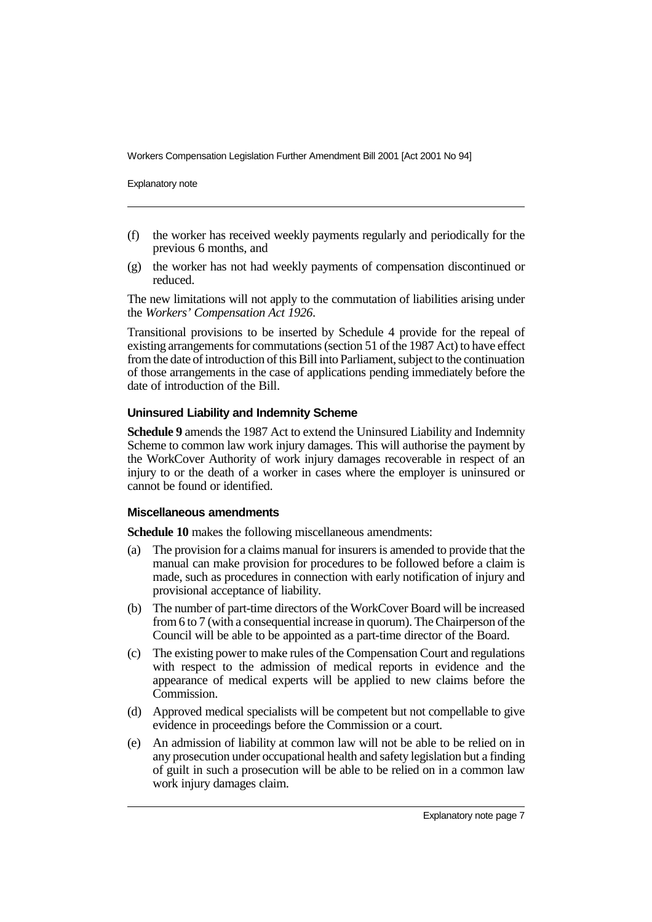Explanatory note

- (f) the worker has received weekly payments regularly and periodically for the previous 6 months, and
- (g) the worker has not had weekly payments of compensation discontinued or reduced.

The new limitations will not apply to the commutation of liabilities arising under the *Workers' Compensation Act 1926*.

Transitional provisions to be inserted by Schedule 4 provide for the repeal of existing arrangements for commutations (section 51 of the 1987 Act) to have effect from the date of introduction of this Bill into Parliament, subject to the continuation of those arrangements in the case of applications pending immediately before the date of introduction of the Bill.

#### **Uninsured Liability and Indemnity Scheme**

**Schedule 9** amends the 1987 Act to extend the Uninsured Liability and Indemnity Scheme to common law work injury damages. This will authorise the payment by the WorkCover Authority of work injury damages recoverable in respect of an injury to or the death of a worker in cases where the employer is uninsured or cannot be found or identified.

#### **Miscellaneous amendments**

**Schedule 10** makes the following miscellaneous amendments:

- (a) The provision for a claims manual for insurers is amended to provide that the manual can make provision for procedures to be followed before a claim is made, such as procedures in connection with early notification of injury and provisional acceptance of liability.
- (b) The number of part-time directors of the WorkCover Board will be increased from 6 to 7 (with a consequential increase in quorum). The Chairperson of the Council will be able to be appointed as a part-time director of the Board.
- (c) The existing power to make rules of the Compensation Court and regulations with respect to the admission of medical reports in evidence and the appearance of medical experts will be applied to new claims before the Commission.
- (d) Approved medical specialists will be competent but not compellable to give evidence in proceedings before the Commission or a court.
- (e) An admission of liability at common law will not be able to be relied on in any prosecution under occupational health and safety legislation but a finding of guilt in such a prosecution will be able to be relied on in a common law work injury damages claim.